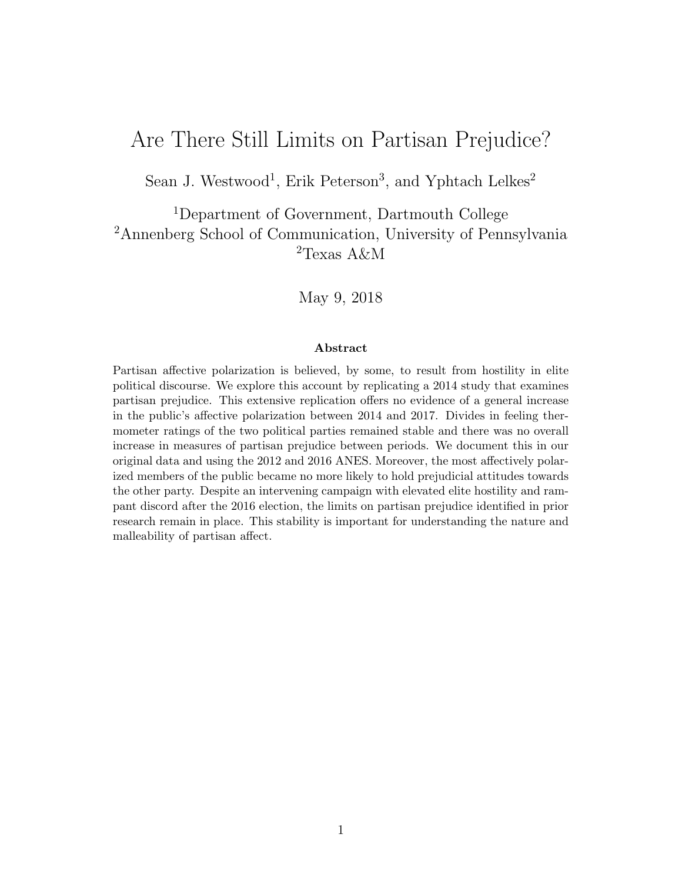# Are There Still Limits on Partisan Prejudice?

Sean J. Westwood<sup>1</sup>, Erik Peterson<sup>3</sup>, and Yphtach Lelkes<sup>2</sup>

<sup>1</sup>Department of Government, Dartmouth College <sup>2</sup>Annenberg School of Communication, University of Pennsylvania  ${}^{2}$ Texas A&M

May 9, 2018

#### Abstract

Partisan affective polarization is believed, by some, to result from hostility in elite political discourse. We explore this account by replicating a 2014 study that examines partisan prejudice. This extensive replication offers no evidence of a general increase in the public's affective polarization between 2014 and 2017. Divides in feeling thermometer ratings of the two political parties remained stable and there was no overall increase in measures of partisan prejudice between periods. We document this in our original data and using the 2012 and 2016 ANES. Moreover, the most affectively polarized members of the public became no more likely to hold prejudicial attitudes towards the other party. Despite an intervening campaign with elevated elite hostility and rampant discord after the 2016 election, the limits on partisan prejudice identified in prior research remain in place. This stability is important for understanding the nature and malleability of partisan affect.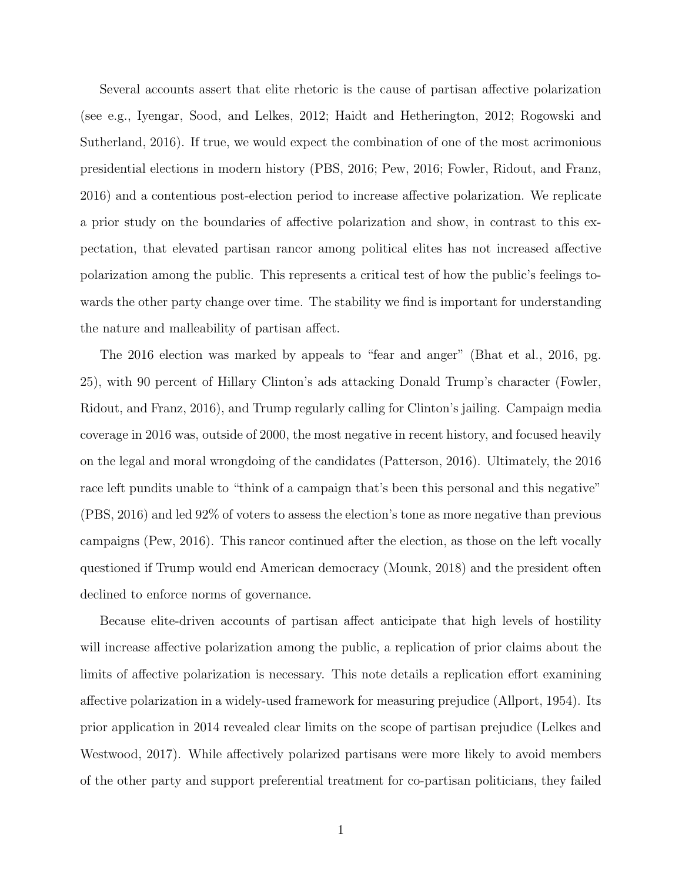Several accounts assert that elite rhetoric is the cause of partisan affective polarization (see e.g., Iyengar, Sood, and Lelkes, 2012; Haidt and Hetherington, 2012; Rogowski and Sutherland, 2016). If true, we would expect the combination of one of the most acrimonious presidential elections in modern history (PBS, 2016; Pew, 2016; Fowler, Ridout, and Franz, 2016) and a contentious post-election period to increase affective polarization. We replicate a prior study on the boundaries of affective polarization and show, in contrast to this expectation, that elevated partisan rancor among political elites has not increased affective polarization among the public. This represents a critical test of how the public's feelings towards the other party change over time. The stability we find is important for understanding the nature and malleability of partisan affect.

The 2016 election was marked by appeals to "fear and anger" (Bhat et al., 2016, pg. 25), with 90 percent of Hillary Clinton's ads attacking Donald Trump's character (Fowler, Ridout, and Franz, 2016), and Trump regularly calling for Clinton's jailing. Campaign media coverage in 2016 was, outside of 2000, the most negative in recent history, and focused heavily on the legal and moral wrongdoing of the candidates (Patterson, 2016). Ultimately, the 2016 race left pundits unable to "think of a campaign that's been this personal and this negative" (PBS, 2016) and led 92% of voters to assess the election's tone as more negative than previous campaigns (Pew, 2016). This rancor continued after the election, as those on the left vocally questioned if Trump would end American democracy (Mounk, 2018) and the president often declined to enforce norms of governance.

Because elite-driven accounts of partisan affect anticipate that high levels of hostility will increase affective polarization among the public, a replication of prior claims about the limits of affective polarization is necessary. This note details a replication effort examining affective polarization in a widely-used framework for measuring prejudice (Allport, 1954). Its prior application in 2014 revealed clear limits on the scope of partisan prejudice (Lelkes and Westwood, 2017). While affectively polarized partisans were more likely to avoid members of the other party and support preferential treatment for co-partisan politicians, they failed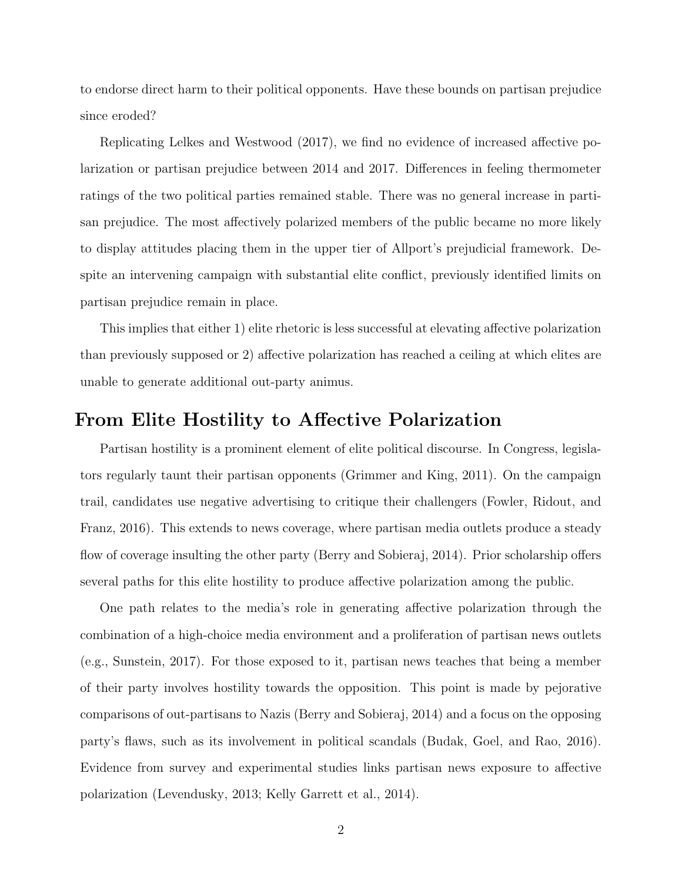to endorse direct harm to their political opponents. Have these bounds on partisan prejudice since eroded?

Replicating Lelkes and Westwood (2017), we find no evidence of increased affective polarization or partisan prejudice between 2014 and 2017. Differences in feeling thermometer ratings of the two political parties remained stable. There was no general increase in partisan prejudice. The most affectively polarized members of the public became no more likely to display attitudes placing them in the upper tier of Allport's prejudicial framework. Despite an intervening campaign with substantial elite conflict, previously identified limits on partisan prejudice remain in place.

This implies that either 1) elite rhetoric is less successful at elevating affective polarization than previously supposed or 2) affective polarization has reached a ceiling at which elites are unable to generate additional out-party animus.

#### From Elite Hostility to Affective Polarization

Partisan hostility is a prominent element of elite political discourse. In Congress, legislators regularly taunt their partisan opponents (Grimmer and King, 2011). On the campaign trail, candidates use negative advertising to critique their challengers (Fowler, Ridout, and Franz, 2016). This extends to news coverage, where partisan media outlets produce a steady flow of coverage insulting the other party (Berry and Sobieraj, 2014). Prior scholarship offers several paths for this elite hostility to produce affective polarization among the public.

One path relates to the media's role in generating affective polarization through the combination of a high-choice media environment and a proliferation of partisan news outlets (e.g., Sunstein, 2017). For those exposed to it, partisan news teaches that being a member of their party involves hostility towards the opposition. This point is made by pejorative comparisons of out-partisans to Nazis (Berry and Sobieraj, 2014) and a focus on the opposing party's flaws, such as its involvement in political scandals (Budak, Goel, and Rao, 2016). Evidence from survey and experimental studies links partisan news exposure to affective polarization (Levendusky, 2013; Kelly Garrett et al., 2014).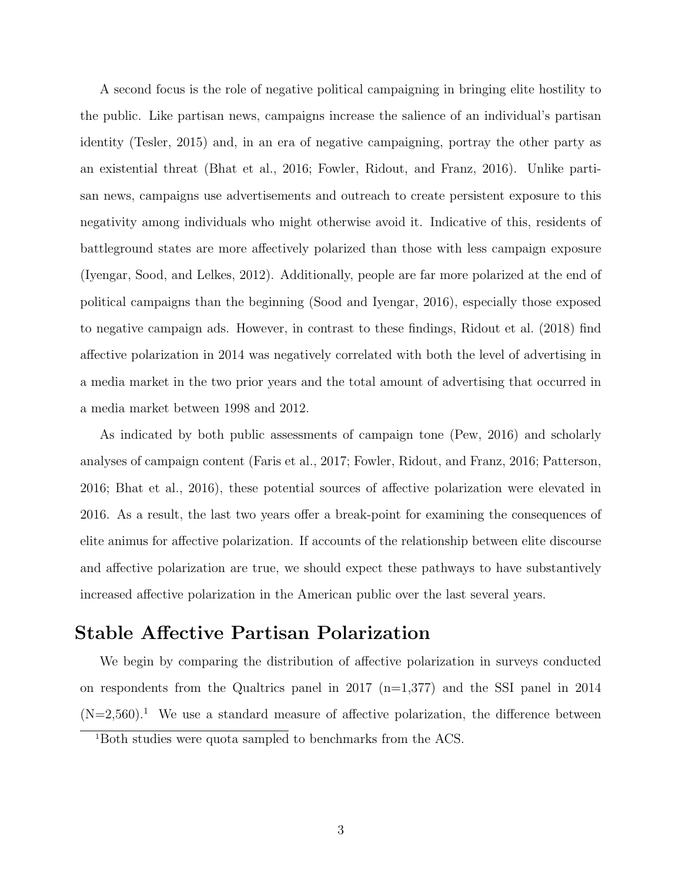A second focus is the role of negative political campaigning in bringing elite hostility to the public. Like partisan news, campaigns increase the salience of an individual's partisan identity (Tesler, 2015) and, in an era of negative campaigning, portray the other party as an existential threat (Bhat et al., 2016; Fowler, Ridout, and Franz, 2016). Unlike partisan news, campaigns use advertisements and outreach to create persistent exposure to this negativity among individuals who might otherwise avoid it. Indicative of this, residents of battleground states are more affectively polarized than those with less campaign exposure (Iyengar, Sood, and Lelkes, 2012). Additionally, people are far more polarized at the end of political campaigns than the beginning (Sood and Iyengar, 2016), especially those exposed to negative campaign ads. However, in contrast to these findings, Ridout et al. (2018) find affective polarization in 2014 was negatively correlated with both the level of advertising in a media market in the two prior years and the total amount of advertising that occurred in a media market between 1998 and 2012.

As indicated by both public assessments of campaign tone (Pew, 2016) and scholarly analyses of campaign content (Faris et al., 2017; Fowler, Ridout, and Franz, 2016; Patterson, 2016; Bhat et al., 2016), these potential sources of affective polarization were elevated in 2016. As a result, the last two years offer a break-point for examining the consequences of elite animus for affective polarization. If accounts of the relationship between elite discourse and affective polarization are true, we should expect these pathways to have substantively increased affective polarization in the American public over the last several years.

#### Stable Affective Partisan Polarization

We begin by comparing the distribution of affective polarization in surveys conducted on respondents from the Qualtrics panel in 2017  $(n=1,377)$  and the SSI panel in 2014  $(N=2,560).$ <sup>1</sup> We use a standard measure of affective polarization, the difference between

<sup>1</sup>Both studies were quota sampled to benchmarks from the ACS.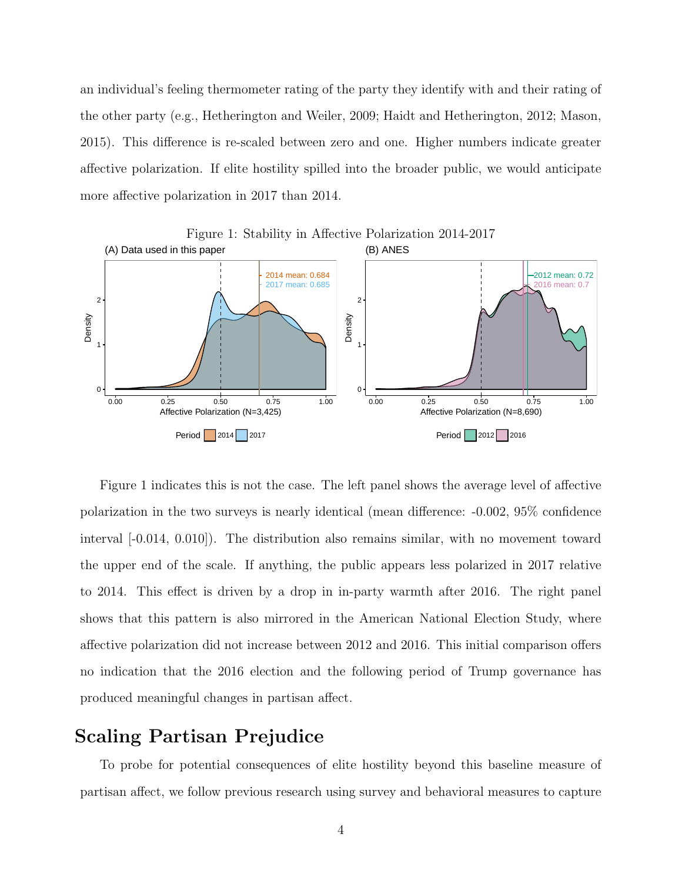an individual's feeling thermometer rating of the party they identify with and their rating of the other party (e.g., Hetherington and Weiler, 2009; Haidt and Hetherington, 2012; Mason, 2015). This difference is re-scaled between zero and one. Higher numbers indicate greater affective polarization. If elite hostility spilled into the broader public, we would anticipate more affective polarization in 2017 than 2014.



Figure 1 indicates this is not the case. The left panel shows the average level of affective polarization in the two surveys is nearly identical (mean difference: -0.002, 95% confidence interval [-0.014, 0.010]). The distribution also remains similar, with no movement toward the upper end of the scale. If anything, the public appears less polarized in 2017 relative to 2014. This effect is driven by a drop in in-party warmth after 2016. The right panel shows that this pattern is also mirrored in the American National Election Study, where affective polarization did not increase between 2012 and 2016. This initial comparison offers no indication that the 2016 election and the following period of Trump governance has produced meaningful changes in partisan affect.

### Scaling Partisan Prejudice

To probe for potential consequences of elite hostility beyond this baseline measure of partisan affect, we follow previous research using survey and behavioral measures to capture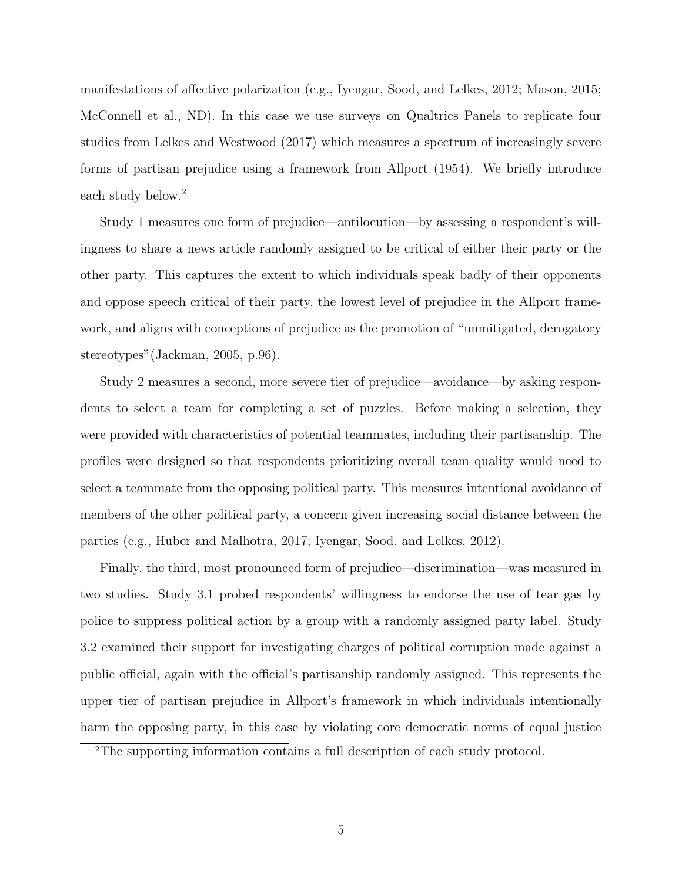manifestations of affective polarization (e.g., Iyengar, Sood, and Lelkes, 2012; Mason, 2015; McConnell et al., ND). In this case we use surveys on Qualtrics Panels to replicate four studies from Lelkes and Westwood (2017) which measures a spectrum of increasingly severe forms of partisan prejudice using a framework from Allport (1954). We briefly introduce each study below.<sup>2</sup>

Study 1 measures one form of prejudice—antilocution—by assessing a respondent's willingness to share a news article randomly assigned to be critical of either their party or the other party. This captures the extent to which individuals speak badly of their opponents and oppose speech critical of their party, the lowest level of prejudice in the Allport framework, and aligns with conceptions of prejudice as the promotion of "unmitigated, derogatory stereotypes"(Jackman, 2005, p.96).

Study 2 measures a second, more severe tier of prejudice—avoidance—by asking respondents to select a team for completing a set of puzzles. Before making a selection, they were provided with characteristics of potential teammates, including their partisanship. The profiles were designed so that respondents prioritizing overall team quality would need to select a teammate from the opposing political party. This measures intentional avoidance of members of the other political party, a concern given increasing social distance between the parties (e.g., Huber and Malhotra, 2017; Iyengar, Sood, and Lelkes, 2012).

Finally, the third, most pronounced form of prejudice—discrimination—was measured in two studies. Study 3.1 probed respondents' willingness to endorse the use of tear gas by police to suppress political action by a group with a randomly assigned party label. Study 3.2 examined their support for investigating charges of political corruption made against a public official, again with the official's partisanship randomly assigned. This represents the upper tier of partisan prejudice in Allport's framework in which individuals intentionally harm the opposing party, in this case by violating core democratic norms of equal justice

<sup>2</sup>The supporting information contains a full description of each study protocol.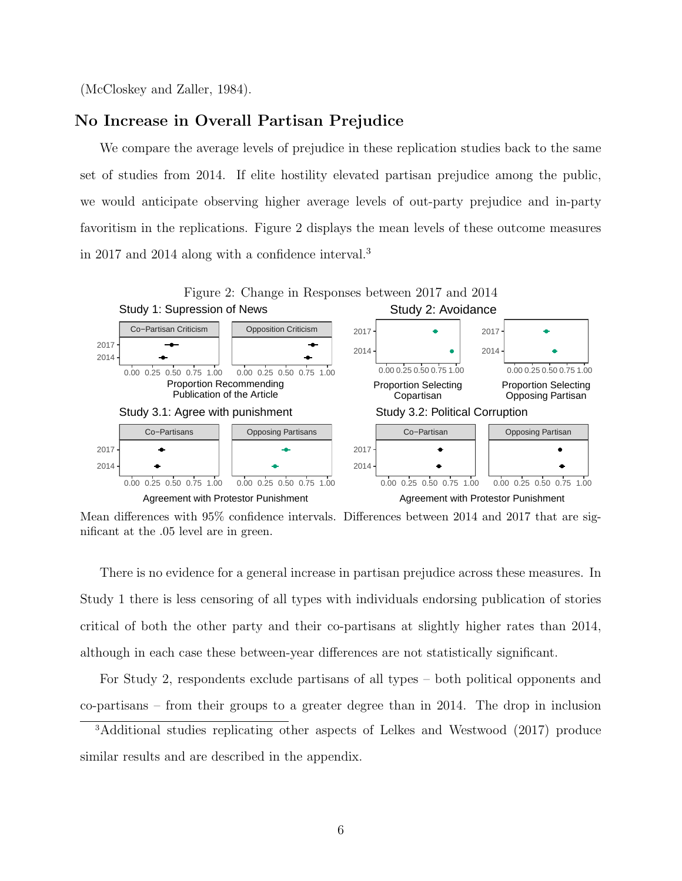(McCloskey and Zaller, 1984).

#### No Increase in Overall Partisan Prejudice

We compare the average levels of prejudice in these replication studies back to the same set of studies from 2014. If elite hostility elevated partisan prejudice among the public, we would anticipate observing higher average levels of out-party prejudice and in-party favoritism in the replications. Figure 2 displays the mean levels of these outcome measures in 2017 and 2014 along with a confidence interval.<sup>3</sup>



Mean differences with 95% confidence intervals. Differences between 2014 and 2017 that are significant at the .05 level are in green.

There is no evidence for a general increase in partisan prejudice across these measures. In Study 1 there is less censoring of all types with individuals endorsing publication of stories critical of both the other party and their co-partisans at slightly higher rates than 2014, although in each case these between-year differences are not statistically significant.

For Study 2, respondents exclude partisans of all types – both political opponents and co-partisans – from their groups to a greater degree than in 2014. The drop in inclusion

<sup>3</sup>Additional studies replicating other aspects of Lelkes and Westwood (2017) produce similar results and are described in the appendix.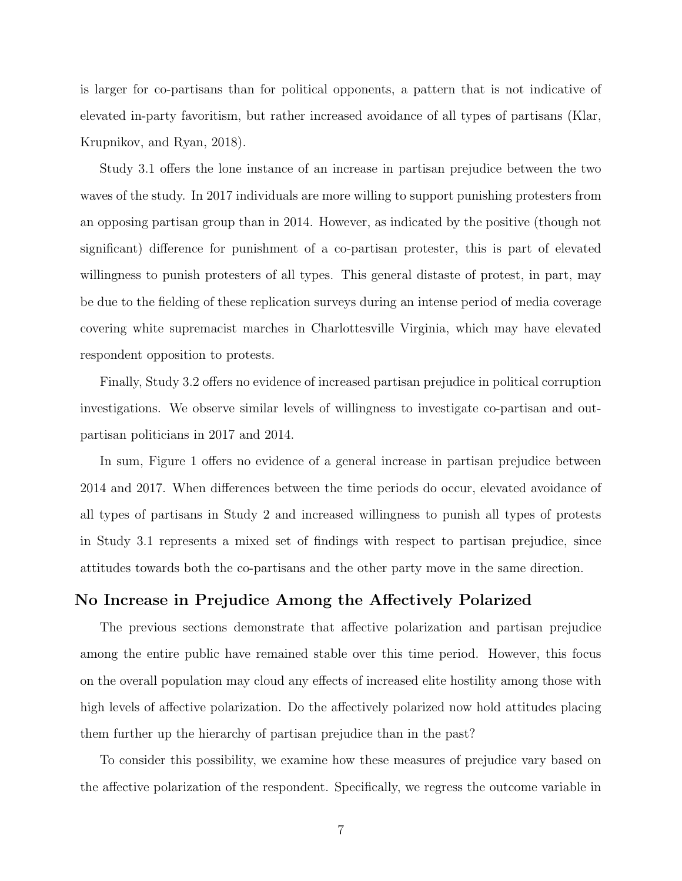is larger for co-partisans than for political opponents, a pattern that is not indicative of elevated in-party favoritism, but rather increased avoidance of all types of partisans (Klar, Krupnikov, and Ryan, 2018).

Study 3.1 offers the lone instance of an increase in partisan prejudice between the two waves of the study. In 2017 individuals are more willing to support punishing protesters from an opposing partisan group than in 2014. However, as indicated by the positive (though not significant) difference for punishment of a co-partisan protester, this is part of elevated willingness to punish protesters of all types. This general distaste of protest, in part, may be due to the fielding of these replication surveys during an intense period of media coverage covering white supremacist marches in Charlottesville Virginia, which may have elevated respondent opposition to protests.

Finally, Study 3.2 offers no evidence of increased partisan prejudice in political corruption investigations. We observe similar levels of willingness to investigate co-partisan and outpartisan politicians in 2017 and 2014.

In sum, Figure 1 offers no evidence of a general increase in partisan prejudice between 2014 and 2017. When differences between the time periods do occur, elevated avoidance of all types of partisans in Study 2 and increased willingness to punish all types of protests in Study 3.1 represents a mixed set of findings with respect to partisan prejudice, since attitudes towards both the co-partisans and the other party move in the same direction.

#### No Increase in Prejudice Among the Affectively Polarized

The previous sections demonstrate that affective polarization and partisan prejudice among the entire public have remained stable over this time period. However, this focus on the overall population may cloud any effects of increased elite hostility among those with high levels of affective polarization. Do the affectively polarized now hold attitudes placing them further up the hierarchy of partisan prejudice than in the past?

To consider this possibility, we examine how these measures of prejudice vary based on the affective polarization of the respondent. Specifically, we regress the outcome variable in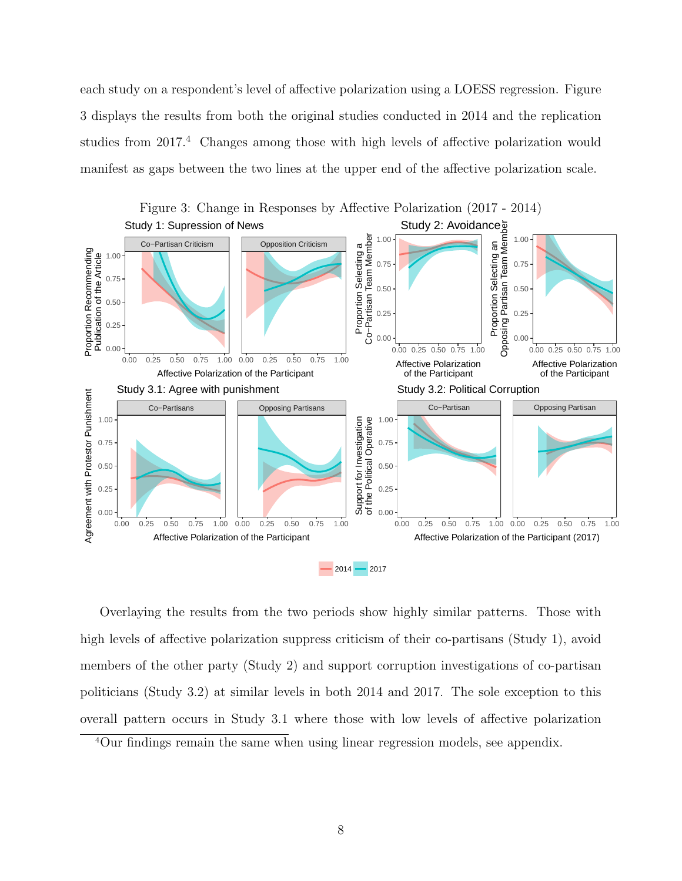each study on a respondent's level of affective polarization using a LOESS regression. Figure 3 displays the results from both the original studies conducted in 2014 and the replication studies from 2017.<sup>4</sup> Changes among those with high levels of affective polarization would manifest as gaps between the two lines at the upper end of the affective polarization scale.



Overlaying the results from the two periods show highly similar patterns. Those with high levels of affective polarization suppress criticism of their co-partisans (Study 1), avoid members of the other party (Study 2) and support corruption investigations of co-partisan politicians (Study 3.2) at similar levels in both 2014 and 2017. The sole exception to this overall pattern occurs in Study 3.1 where those with low levels of affective polarization

<sup>4</sup>Our findings remain the same when using linear regression models, see appendix.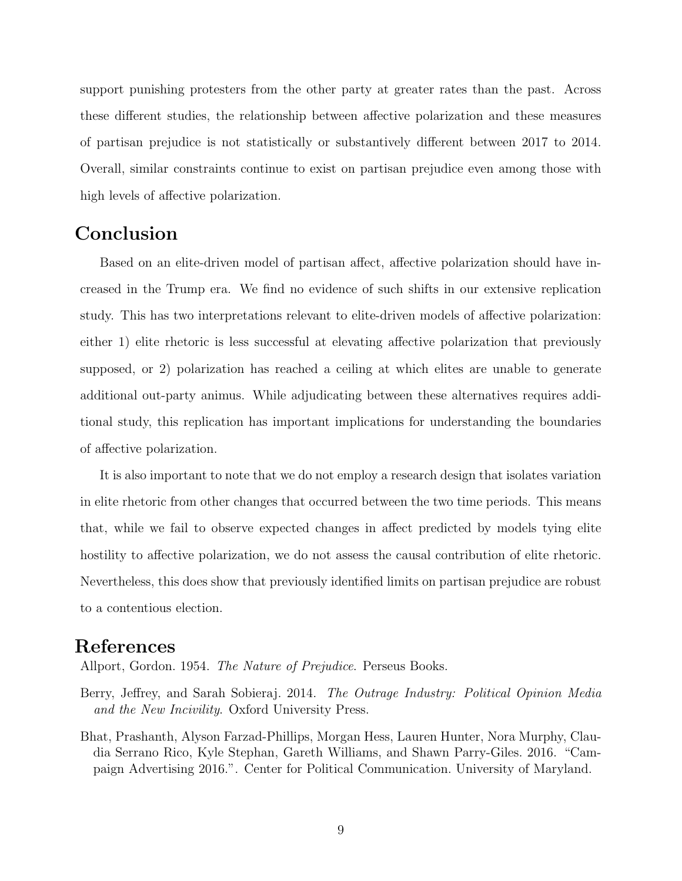support punishing protesters from the other party at greater rates than the past. Across these different studies, the relationship between affective polarization and these measures of partisan prejudice is not statistically or substantively different between 2017 to 2014. Overall, similar constraints continue to exist on partisan prejudice even among those with high levels of affective polarization.

### Conclusion

Based on an elite-driven model of partisan affect, affective polarization should have increased in the Trump era. We find no evidence of such shifts in our extensive replication study. This has two interpretations relevant to elite-driven models of affective polarization: either 1) elite rhetoric is less successful at elevating affective polarization that previously supposed, or 2) polarization has reached a ceiling at which elites are unable to generate additional out-party animus. While adjudicating between these alternatives requires additional study, this replication has important implications for understanding the boundaries of affective polarization.

It is also important to note that we do not employ a research design that isolates variation in elite rhetoric from other changes that occurred between the two time periods. This means that, while we fail to observe expected changes in affect predicted by models tying elite hostility to affective polarization, we do not assess the causal contribution of elite rhetoric. Nevertheless, this does show that previously identified limits on partisan prejudice are robust to a contentious election.

## References

Allport, Gordon. 1954. *The Nature of Prejudice*. Perseus Books.

- Berry, Jeffrey, and Sarah Sobieraj. 2014. The Outrage Industry: Political Opinion Media and the New Incivility. Oxford University Press.
- Bhat, Prashanth, Alyson Farzad-Phillips, Morgan Hess, Lauren Hunter, Nora Murphy, Claudia Serrano Rico, Kyle Stephan, Gareth Williams, and Shawn Parry-Giles. 2016. "Campaign Advertising 2016.". Center for Political Communication. University of Maryland.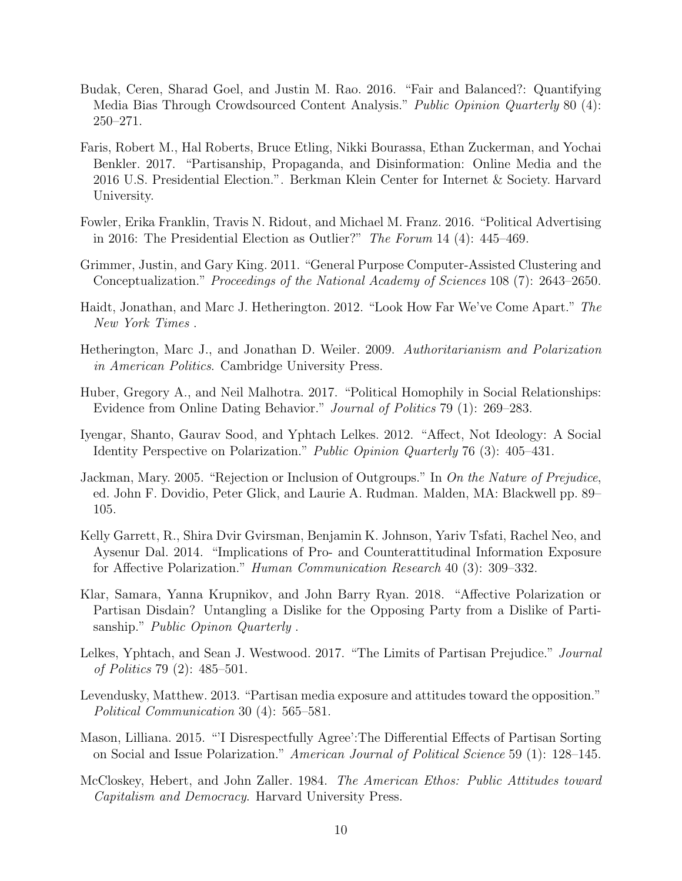- Budak, Ceren, Sharad Goel, and Justin M. Rao. 2016. "Fair and Balanced?: Quantifying Media Bias Through Crowdsourced Content Analysis." Public Opinion Quarterly 80 (4): 250–271.
- Faris, Robert M., Hal Roberts, Bruce Etling, Nikki Bourassa, Ethan Zuckerman, and Yochai Benkler. 2017. "Partisanship, Propaganda, and Disinformation: Online Media and the 2016 U.S. Presidential Election.". Berkman Klein Center for Internet & Society. Harvard University.
- Fowler, Erika Franklin, Travis N. Ridout, and Michael M. Franz. 2016. "Political Advertising in 2016: The Presidential Election as Outlier?" The Forum 14 (4): 445–469.
- Grimmer, Justin, and Gary King. 2011. "General Purpose Computer-Assisted Clustering and Conceptualization." Proceedings of the National Academy of Sciences 108 (7): 2643–2650.
- Haidt, Jonathan, and Marc J. Hetherington. 2012. "Look How Far We've Come Apart." The New York Times .
- Hetherington, Marc J., and Jonathan D. Weiler. 2009. Authoritarianism and Polarization in American Politics. Cambridge University Press.
- Huber, Gregory A., and Neil Malhotra. 2017. "Political Homophily in Social Relationships: Evidence from Online Dating Behavior." Journal of Politics 79 (1): 269–283.
- Iyengar, Shanto, Gaurav Sood, and Yphtach Lelkes. 2012. "Affect, Not Ideology: A Social Identity Perspective on Polarization." Public Opinion Quarterly 76 (3): 405–431.
- Jackman, Mary. 2005. "Rejection or Inclusion of Outgroups." In On the Nature of Prejudice, ed. John F. Dovidio, Peter Glick, and Laurie A. Rudman. Malden, MA: Blackwell pp. 89– 105.
- Kelly Garrett, R., Shira Dvir Gvirsman, Benjamin K. Johnson, Yariv Tsfati, Rachel Neo, and Aysenur Dal. 2014. "Implications of Pro- and Counterattitudinal Information Exposure for Affective Polarization." Human Communication Research 40 (3): 309–332.
- Klar, Samara, Yanna Krupnikov, and John Barry Ryan. 2018. "Affective Polarization or Partisan Disdain? Untangling a Dislike for the Opposing Party from a Dislike of Partisanship." *Public Opinon Quarterly*.
- Lelkes, Yphtach, and Sean J. Westwood. 2017. "The Limits of Partisan Prejudice." Journal of Politics 79 (2): 485–501.
- Levendusky, Matthew. 2013. "Partisan media exposure and attitudes toward the opposition." Political Communication 30 (4): 565–581.
- Mason, Lilliana. 2015. "'I Disrespectfully Agree':The Differential Effects of Partisan Sorting on Social and Issue Polarization." American Journal of Political Science 59 (1): 128–145.
- McCloskey, Hebert, and John Zaller. 1984. The American Ethos: Public Attitudes toward Capitalism and Democracy. Harvard University Press.